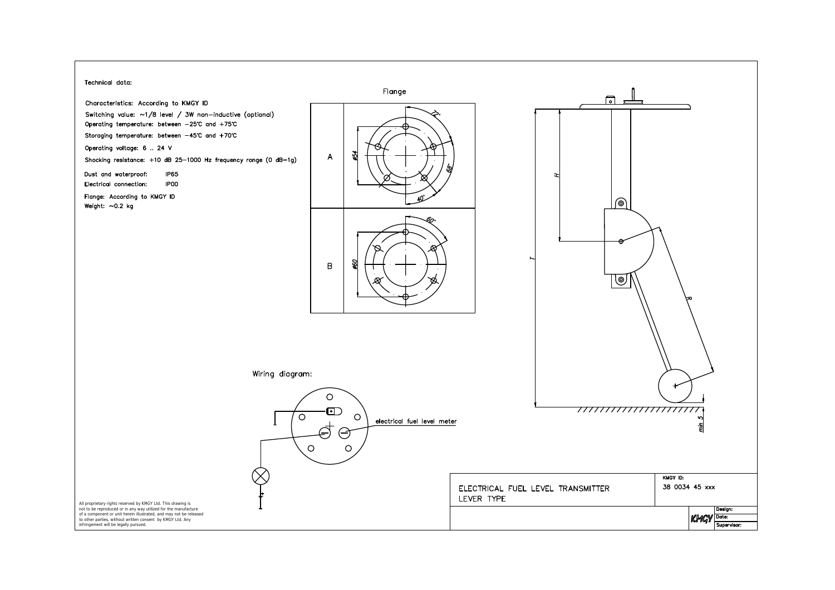